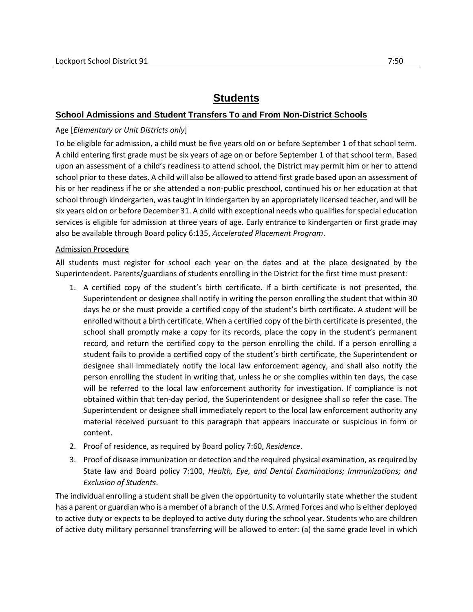# **Students**

# **School Admissions and Student Transfers To and From Non-District Schools**

#### Age [*Elementary or Unit Districts only*]

To be eligible for admission, a child must be five years old on or before September 1 of that school term. A child entering first grade must be six years of age on or before September 1 of that school term. Based upon an assessment of a child's readiness to attend school, the District may permit him or her to attend school prior to these dates. A child will also be allowed to attend first grade based upon an assessment of his or her readiness if he or she attended a non-public preschool, continued his or her education at that school through kindergarten, was taught in kindergarten by an appropriately licensed teacher, and will be six years old on or before December 31. A child with exceptional needs who qualifies for special education services is eligible for admission at three years of age. Early entrance to kindergarten or first grade may also be available through Board policy 6:135, *Accelerated Placement Program*.

#### Admission Procedure

All students must register for school each year on the dates and at the place designated by the Superintendent. Parents/guardians of students enrolling in the District for the first time must present:

- 1. A certified copy of the student's birth certificate. If a birth certificate is not presented, the Superintendent or designee shall notify in writing the person enrolling the student that within 30 days he or she must provide a certified copy of the student's birth certificate. A student will be enrolled without a birth certificate. When a certified copy of the birth certificate is presented, the school shall promptly make a copy for its records, place the copy in the student's permanent record, and return the certified copy to the person enrolling the child. If a person enrolling a student fails to provide a certified copy of the student's birth certificate, the Superintendent or designee shall immediately notify the local law enforcement agency, and shall also notify the person enrolling the student in writing that, unless he or she complies within ten days, the case will be referred to the local law enforcement authority for investigation. If compliance is not obtained within that ten-day period, the Superintendent or designee shall so refer the case. The Superintendent or designee shall immediately report to the local law enforcement authority any material received pursuant to this paragraph that appears inaccurate or suspicious in form or content.
- 2. Proof of residence, as required by Board policy 7:60, *Residence*.
- 3. Proof of disease immunization or detection and the required physical examination, as required by State law and Board policy 7:100, *Health, Eye, and Dental Examinations; Immunizations; and Exclusion of Students*.

The individual enrolling a student shall be given the opportunity to voluntarily state whether the student has a parent or guardian who is a member of a branch of the U.S. Armed Forces and who is either deployed to active duty or expects to be deployed to active duty during the school year. Students who are children of active duty military personnel transferring will be allowed to enter: (a) the same grade level in which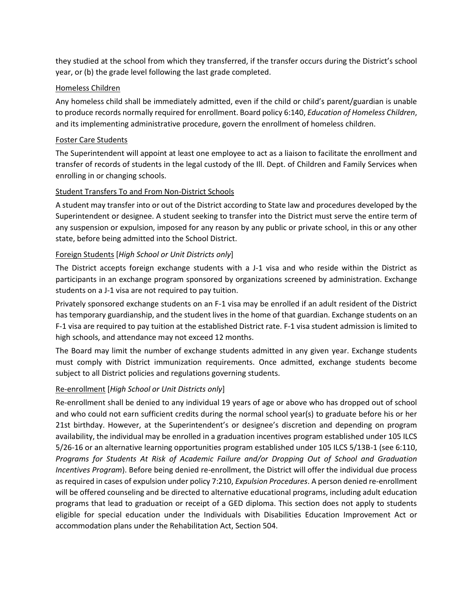they studied at the school from which they transferred, if the transfer occurs during the District's school year, or (b) the grade level following the last grade completed.

#### Homeless Children

Any homeless child shall be immediately admitted, even if the child or child's parent/guardian is unable to produce records normally required for enrollment. Board policy 6:140, *Education of Homeless Children*, and its implementing administrative procedure, govern the enrollment of homeless children.

### Foster Care Students

The Superintendent will appoint at least one employee to act as a liaison to facilitate the enrollment and transfer of records of students in the legal custody of the Ill. Dept. of Children and Family Services when enrolling in or changing schools.

#### Student Transfers To and From Non-District Schools

A student may transfer into or out of the District according to State law and procedures developed by the Superintendent or designee. A student seeking to transfer into the District must serve the entire term of any suspension or expulsion, imposed for any reason by any public or private school, in this or any other state, before being admitted into the School District.

#### Foreign Students [*High School or Unit Districts only*]

The District accepts foreign exchange students with a J-1 visa and who reside within the District as participants in an exchange program sponsored by organizations screened by administration. Exchange students on a J-1 visa are not required to pay tuition.

Privately sponsored exchange students on an F-1 visa may be enrolled if an adult resident of the District has temporary guardianship, and the student lives in the home of that guardian. Exchange students on an F-1 visa are required to pay tuition at the established District rate. F-1 visa student admission is limited to high schools, and attendance may not exceed 12 months.

The Board may limit the number of exchange students admitted in any given year. Exchange students must comply with District immunization requirements. Once admitted, exchange students become subject to all District policies and regulations governing students.

# Re-enrollment [*High School or Unit Districts only*]

Re-enrollment shall be denied to any individual 19 years of age or above who has dropped out of school and who could not earn sufficient credits during the normal school year(s) to graduate before his or her 21st birthday. However, at the Superintendent's or designee's discretion and depending on program availability, the individual may be enrolled in a graduation incentives program established under 105 ILCS 5/26-16 or an alternative learning opportunities program established under 105 ILCS 5/13B-1 (see 6:110, *Programs for Students At Risk of Academic Failure and/or Dropping Out of School and Graduation Incentives Program*). Before being denied re-enrollment, the District will offer the individual due process as required in cases of expulsion under policy 7:210, *Expulsion Procedures*. A person denied re-enrollment will be offered counseling and be directed to alternative educational programs, including adult education programs that lead to graduation or receipt of a GED diploma. This section does not apply to students eligible for special education under the Individuals with Disabilities Education Improvement Act or accommodation plans under the Rehabilitation Act, Section 504.